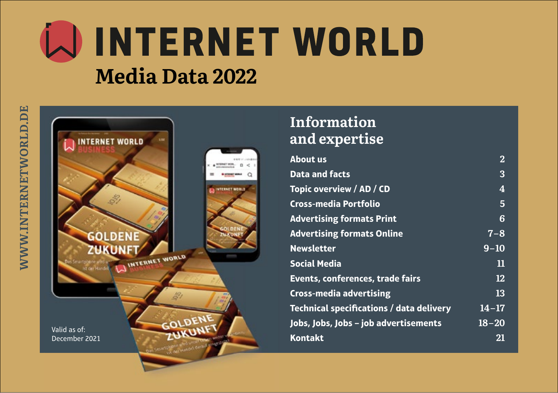# WINTERNET WORLD **Media Data 2022**



## **Information and expertise**

| <b>About us</b>                                 | $\bf{2}$  |
|-------------------------------------------------|-----------|
| <b>Data and facts</b>                           | 3         |
| Topic overview / AD / CD                        | 4         |
| Cross-media Portfolio                           | 5         |
| <b>Advertising formats Print</b>                | 6         |
| <b>Advertising formats Online</b>               | $7 - 8$   |
| <b>Newsletter</b>                               | $9 - 10$  |
| <b>Social Media</b>                             | 11        |
| Events, conferences, trade fairs                | 12        |
| <b>Cross-media advertising</b>                  | 13        |
| <b>Technical specifications / data delivery</b> | $14 - 17$ |
| Jobs, Jobs, Jobs - job advertisements           | $18 - 20$ |
| <b>Kontakt</b>                                  | 21        |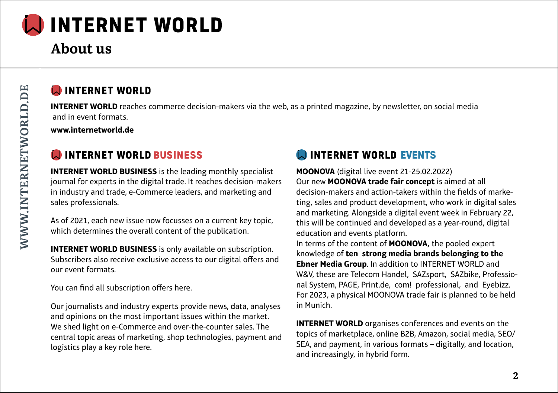

## **About us**

#### **CONTERNET WORLD**

**INTERNET WORLD** reaches commerce decision-makers via the web, as a printed magazine, by newsletter, on social media and in event formats.

**www.internetworld.de**

### **ON INTERNET WORLD BUSINESS**

**INTERNET WORLD BUSINESS** is the leading monthly specialist journal for experts in the digital trade. It reaches decision-makers in industry and trade, e-Commerce leaders, and marketing and sales professionals.

As of 2021, each new issue now focusses on a current key topic, which determines the overall content of the publication.

**INTERNET WORLD BUSINESS** is only available on subscription. Subscribers also receive exclusive access to our digital offers and our event formats.

You can find all subscription offers here.

Our journalists and industry experts provide news, data, analyses and opinions on the most important issues within the market. We shed light on e-Commerce and over-the-counter sales. The central topic areas of marketing, shop technologies, payment and logistics play a key role here.

### **EVENTS** INTERNET WORLD EVENTS

**MOONOVA** (digital live event 21-25.02.2022) Our new **MOONOVA trade fair concept** is aimed at all decision-makers and action-takers within the fields of marketing, sales and product development, who work in digital sales and marketing. Alongside a digital event week in February 22, this will be continued and developed as a year-round, digital education and events platform.

In terms of the content of **MOONOVA,** the pooled expert knowledge of **ten strong media brands belonging to the Ebner Media Group**. In addition to INTERNET WORLD and W&V, these are Telecom Handel, SAZsport, SAZbike, Professional System, PAGE, Print.de, com! professional, and Eyebizz. For 2023, a physical MOONOVA trade fair is planned to be held in Munich.

**INTERNET WORLD** organises conferences and events on the topics of marketplace, online B2B, Amazon, social media, SEO/ SEA, and payment, in various formats – digitally, and location, and increasingly, in hybrid form.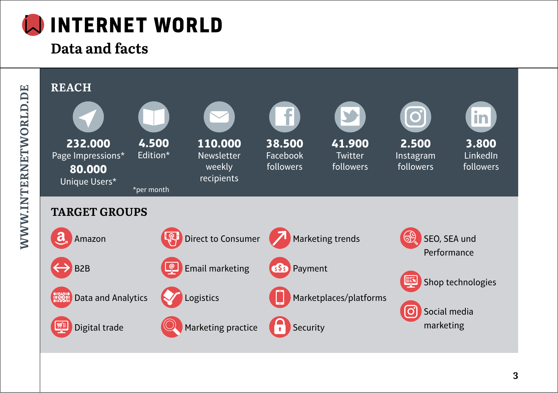

# **Data and facts**

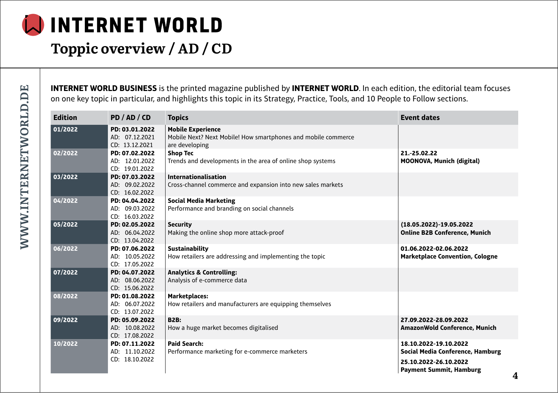

## **Toppic overview / AD / CD**

**INTERNET WORLD BUSINESS** is the printed magazine published by **INTERNET WORLD**. In each edition, the editorial team focuses on one key topic in particular, and highlights this topic in its Strategy, Practice, Tools, and 10 People to Follow sections.

| <b>Edition</b> | PD / AD / CD                                       | <b>Topics</b>                                                                                               | <b>Event dates</b>                                               |
|----------------|----------------------------------------------------|-------------------------------------------------------------------------------------------------------------|------------------------------------------------------------------|
| 01/2022        | PD: 03.01.2022<br>AD: 07.12.2021<br>CD: 13.12.2021 | <b>Mobile Experience</b><br>Mobile Next? Next Mobile! How smartphones and mobile commerce<br>are developing |                                                                  |
| 02/2022        | PD: 07.02.2022<br>AD: 12.01.2022<br>CD: 19.01.2022 | <b>Shop Tec</b><br>Trends and developments in the area of online shop systems                               | 21 .- 25 .02 .22<br><b>MOONOVA, Munich (digital)</b>             |
| 03/2022        | PD: 07.03.2022<br>AD: 09.02.2022<br>CD: 16.02.2022 | <b>Internationalisation</b><br>Cross-channel commerce and expansion into new sales markets                  |                                                                  |
| 04/2022        | PD: 04.04.2022<br>AD: 09.03.2022<br>CD: 16.03.2022 | <b>Social Media Marketing</b><br>Performance and branding on social channels                                |                                                                  |
| 05/2022        | PD: 02.05.2022<br>AD: 06.04.2022<br>CD: 13.04.2022 | <b>Security</b><br>Making the online shop more attack-proof                                                 | (18.05.2022)-19.05.2022<br><b>Online B2B Conference, Munich</b>  |
| 06/2022        | PD: 07.06.2022<br>AD: 10.05.2022<br>CD: 17.05.2022 | <b>Sustainability</b><br>How retailers are addressing and implementing the topic                            | 01.06.2022-02.06.2022<br><b>Marketplace Convention, Cologne</b>  |
| 07/2022        | PD: 04.07.2022<br>AD: 08.06.2022<br>CD: 15.06.2022 | <b>Analytics &amp; Controlling:</b><br>Analysis of e-commerce data                                          |                                                                  |
| 08/2022        | PD: 01.08.2022<br>AD: 06.07.2022<br>CD: 13.07.2022 | <b>Marketplaces:</b><br>How retailers and manufacturers are equipping themselves                            |                                                                  |
| 09/2022        | PD: 05.09.2022<br>AD: 10.08.2022<br>CD: 17.08.2022 | <b>B2B:</b><br>How a huge market becomes digitalised                                                        | 27.09.2022-28.09.2022<br>AmazonWold Conference, Munich           |
| 10/2022        | PD: 07.11.2022<br>AD: 11.10.2022                   | <b>Paid Search:</b><br>Performance marketing for e-commerce marketers                                       | 18.10.2022-19.10.2022<br><b>Social Media Conference, Hamburg</b> |
|                | CD: 18.10.2022                                     |                                                                                                             | 25.10.2022-26.10.2022<br><b>Payment Summit, Hamburg</b><br>л     |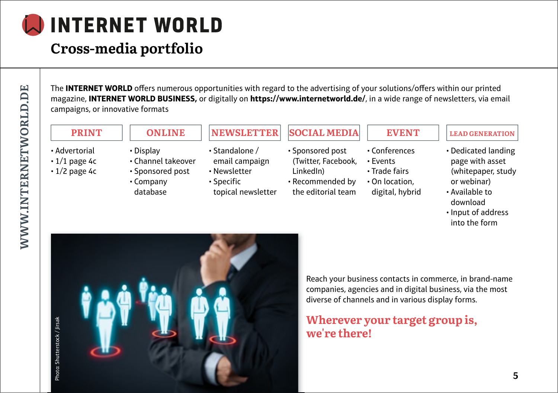# **Cross-media portfolio**

The **INTERNET WORLD** offers numerous opportunities with regard to the advertising of your solutions/offers within our printed magazine, **INTERNET WORLD BUSINESS,** or digitally on **https://www.internetworld.de/**, in a wide range of newsletters, via email campaigns, or innovative formats

#### **PRINT**

- Advertorial
- $\cdot$  1/1 page 4c
- $\cdot$  1/2 page 4c
- **ONLINE**
- Display
- Channel takeover • Sponsored post
- Company database

## **NEWSLETTER**

- Standalone / email campaign
- Newsletter
- Specific topical newsletter

### **SOCIAL MEDIA**

- Conferences • Events • Sponsored post (Twitter, Facebook,
- Trade fairs LinkedIn)
- On location, • Recommended by the editorial team

#### **LEAD GENERATION EVENT**

- Dedicated landing
- page with asset (whitepaper, study or webinar)
- Available to download
- Input of address into the form

Photo: Shutterstock / Jirsakhoto: Shutterstock / Jirsal



Reach your business contacts in commerce, in brand-name companies, agencies and in digital business, via the most diverse of channels and in various display forms.

### **Wherever your target group is, we're there!**

digital, hybrid

#### **5**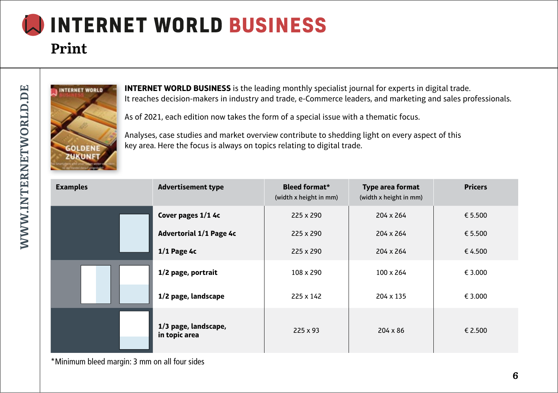# **INTERNET WORLD BUSINESS Print**



**INTERNET WORLD BUSINESS** is the leading monthly specialist journal for experts in digital trade. It reaches decision-makers in industry and trade, e-Commerce leaders, and marketing and sales professionals.

As of 2021, each edition now takes the form of a special issue with a thematic focus.

Analyses, case studies and market overview contribute to shedding light on every aspect of this key area. Here the focus is always on topics relating to digital trade.

| <b>Examples</b> | <b>Advertisement type</b>             | <b>Bleed format*</b><br>(width x height in mm) | <b>Type area format</b><br>(width x height in mm) | <b>Pricers</b> |
|-----------------|---------------------------------------|------------------------------------------------|---------------------------------------------------|----------------|
|                 | Cover pages 1/1 4c                    | 225 x 290                                      | 204 x 264                                         | € 5.500        |
|                 | <b>Advertorial 1/1 Page 4c</b>        | 225 x 290                                      | 204 x 264                                         | € 5.500        |
|                 | $1/1$ Page 4c                         | 225 x 290                                      | 204 x 264                                         | € 4.500        |
|                 | 1/2 page, portrait                    | 108 x 290                                      | 100 x 264                                         | € 3.000        |
|                 | 1/2 page, landscape                   | 225 x 142                                      | 204 x 135                                         | € 3.000        |
|                 | 1/3 page, landscape,<br>in topic area | $225 \times 93$                                | $204 \times 86$                                   | € 2.500        |

\*Minimum bleed margin: 3 mm on all four sides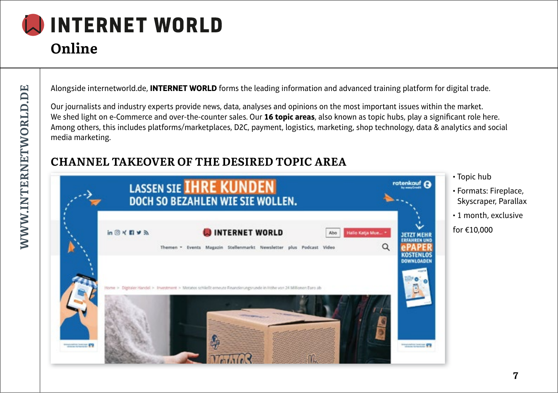# **Online**

Alongside internetworld.de, **INTERNET WORLD** forms the leading information and advanced training platform for digital trade.

Our journalists and industry experts provide news, data, analyses and opinions on the most important issues within the market. We shed light on e-Commerce and over-the-counter sales. Our 16 topic areas, also known as topic hubs, play a significant role here. Among others, this includes platforms/marketplaces, D2C, payment, logistics, marketing, shop technology, data & analytics and social media marketing.

### **CHANNEL TAKEOVER OF THE DESIRED TOPIC AREA**



• Topic hub

- Formats: Fireplace, Skyscraper, Parallax
- 1 month, exclusive
- for €10,000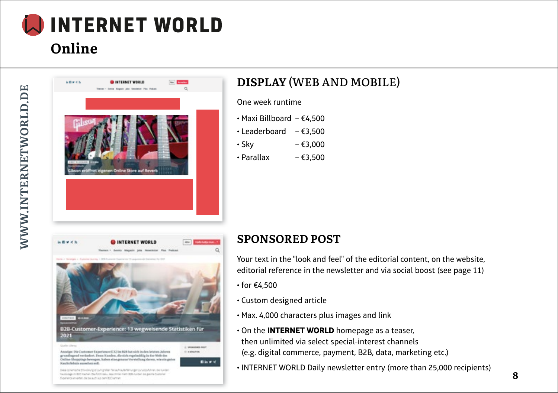## **Online**



## **DISPLAY** (WEB AND MOBILE)

One week runtime

- Maxi Billboard €4,500
- $\cdot$  Leaderboard  $\epsilon$ 3,500
- Sky €3,000
- $\cdot$  Parallax  $\epsilon$ 3.500

#### 医療研究所 **OINTERNET WORLD**  $400$ B2B-Customer-Experience: 13 wegweisende Statistiken für 2021 Quality Library C. WANNAMA PAST Annelge: Die Customer Experience (CX) im R2B hat sich in den letzten Jahren Il assurire grundleprod verändert. Denn Kunden, die sich repelmäßig in der Welt des

Online Shoppings bewegen, haben eine geneze Verstellung davon, wie ein guten **Bis # K** 

Dealership this buyer as your bray was the substance of the second feutilizier in 820 mahen das Christias sess mine nam 828 nunzer die pesite Custorier Experience investment and played was been left surrout

Kauferlebala sussehen soll.

#### **SPONSORED POST**

Your text in the "look and feel" of the editorial content, on the website, editorial reference in the newsletter and via social boost (see page 11)

- for €4,500
- Custom designed article
- Max. 4,000 characters plus images and link
- On the **INTERNET WORLD** homepage as a teaser, then unlimited via select special-interest channels (e.g. digital commerce, payment, B2B, data, marketing etc.)
- INTERNET WORLD Daily newsletter entry (more than 25,000 recipients)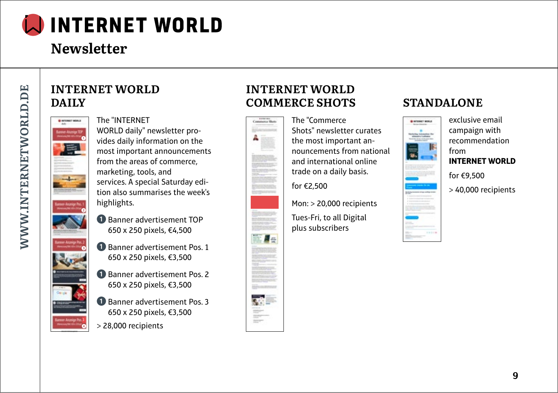

# **Newsletter**

### **INTERNET WORLD DAILY**



➋

➌

➍

#### The "INTERNET

WORLD daily" newsletter provides daily information on the most important announcements from the areas of commerce, marketing, tools, and services. A special Saturday edition also summarises the week's highlights.

- ➊ Banner advertisement TOP 650 x 250 pixels, €4,500
- ➊ Banner advertisement Pos. 1 650 x 250 pixels, €3,500
- ➊ Banner advertisement Pos. 2 650 x 250 pixels, €3,500
- ➊ Banner advertisement Pos. 3 650 x 250 pixels, €3,500
- > 28,000 recipients

### **INTERNET WORLD COMMERCE SHOTS STANDALONE**



The "Commerce Shots" newsletter curates the most important announcements from national and international online trade on a daily basis.

for €2,500

Mon: > 20,000 recipients

Tues-Fri, to all Digital plus subscribers



exclusive email campaign with recommendation from **INTERNET WORLD** for €9,500

> 40,000 recipients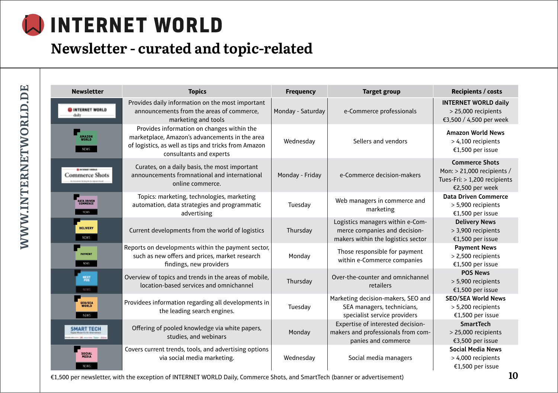# **Newsletter - curated and topic-related**

WWW.INTERNETWORLD.DE **WWW.INTERNETWORLD.DE**

| <b>Newsletter</b>                               | <b>Topics</b>                                                                                                                                                                   | <b>Frequency</b>  | <b>Target group</b>                                                                                     | <b>Recipients / costs</b>                                                                              |
|-------------------------------------------------|---------------------------------------------------------------------------------------------------------------------------------------------------------------------------------|-------------------|---------------------------------------------------------------------------------------------------------|--------------------------------------------------------------------------------------------------------|
| <b>OINTERNET WORLD</b><br>daily                 | Provides daily information on the most important<br>announcements from the areas of commerce,<br>marketing and tools                                                            | Monday - Saturday | e-Commerce professionals                                                                                | <b>INTERNET WORLD daily</b><br>> 25,000 recipients<br>€3,500 / 4,500 per week                          |
| AMAZON<br>WORLD<br><b>NEWS</b>                  | Provides information on changes within the<br>marketplace, Amazon's advancements in the area<br>of logistics, as well as tips and tricks from Amazon<br>consultants and experts | Wednesday         | Sellers and vendors                                                                                     | <b>Amazon World News</b><br>$>$ 4,100 recipients<br>€1,500 per issue                                   |
| <b>BIOGRAPHY MARCH</b><br><b>Commerce Shots</b> | Curates, on a daily basis, the most important<br>announcements fromnational and international<br>online commerce.                                                               | Monday - Friday   | e-Commerce decision-makers                                                                              | <b>Commerce Shots</b><br>Mon: > 21,000 recipients /<br>Tues-Fri: > 1,200 recipients<br>€2,500 per week |
| <b>DATA DRIVEN<br/>COMMERCE</b><br>NEWS         | Topics: marketing, technologies, marketing<br>automation, data strategies and programmatic<br>advertising                                                                       | Tuesday           | Web managers in commerce and<br>marketing                                                               | <b>Data Driven Commerce</b><br>> 5,900 recipients<br>€1,500 per issue                                  |
| <b>DELIVERY</b><br>NEWS                         | Current developments from the world of logistics                                                                                                                                | Thursday          | Logistics managers within e-Com-<br>merce companies and decision-<br>makers within the logistics sector | <b>Delivery News</b><br>> 3,900 recipients<br>€1,500 per issue                                         |
| <b>PAYMENT</b><br>NEWS                          | Reports on developments within the payment sector,<br>such as new offers and prices, market research<br>findings, new providers                                                 | Monday            | Those responsible for payment<br>within e-Commerce companies                                            | <b>Payment News</b><br>> 2,500 recipients<br>€1,500 per issue                                          |
| 鬻<br>M.WS                                       | Overview of topics and trends in the areas of mobile,<br>location-based services and omnichannel                                                                                | Thursday          | Over-the-counter and omnichannel<br>retailers                                                           | <b>POS News</b><br>> 5,900 recipients<br>€1,500 per issue                                              |
| <b>SEO/SEA</b><br>WORLD<br><b>NEWS</b>          | Providees information regarding all developments in<br>the leading search engines.                                                                                              | Tuesday           | Marketing decision-makers, SEO and<br>SEA managers, technicians,<br>specialist service providers        | <b>SEO/SEA World News</b><br>> 5,200 recipients<br>€1,500 per issue                                    |
| <b>SMART TECH</b>                               | Offering of pooled knowledge via white papers,<br>studies, and webinars                                                                                                         | Monday            | Expertise of interested decision-<br>makers and professionals from com-<br>panies and commerce          | <b>SmartTech</b><br>> 25,000 recipients<br>€3,500 per issue                                            |
| SOCIAL<br>MEDIA<br>NEWS                         | Covers current trends, tools, and advertising options<br>via social media marketing.                                                                                            | Wednesday         | Social media managers                                                                                   | <b>Social Media News</b><br>> 4,000 recipients<br>€1,500 per issue                                     |

€1,500 per newsletter, with the exception of INTERNET WORLD Daily, Commerce Shots, and SmartTech (banner or advertisement) **10**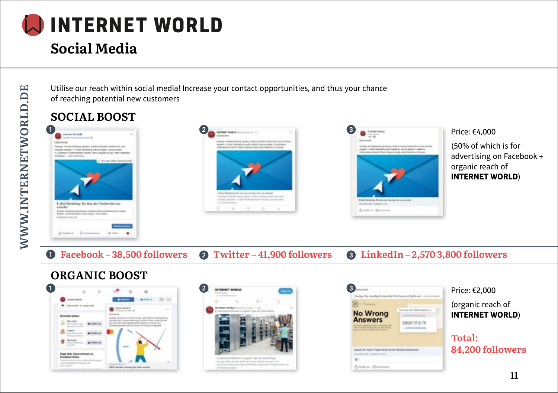

# **Social Media**

Utilise our reach within social media! Increase your contact opportunities, and thus your chance of reaching potential new customers

## **SOCIAL BOOST**







Price: €4,000

(50% of which is for advertising on Facebook + organic reach of **INTERNET WORLD**)

➊ **Facebook – 38,500 followers** ➋ **Twitter – 41,900 followers** ➌ **LinkedIn – 2,570 3,800 followers**

## **ORGANIC BOOST**







Price: €2,000

(organic reach of **INTERNET WORLD**)

**Total: 84,200 followers**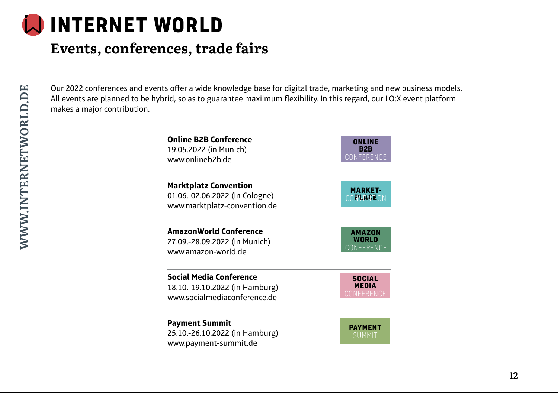

## **Events, conferences, trade fairs**

Our 2022 conferences and events offer a wide knowledge base for digital trade, marketing and new business models. All events are planned to be hybrid, so as to guarantee maxiimum flexibility. In this regard, our LO:X event platform makes a major contribution.

| <b>Online B2B Conference</b>                                                                   | ONLINE                      |
|------------------------------------------------------------------------------------------------|-----------------------------|
| 19.05.2022 (in Munich)                                                                         | B2B                         |
| www.onlineb2b.de                                                                               | CONFERENCE                  |
| <b>Marktplatz Convention</b><br>01.06.-02.06.2022 (in Cologne)<br>www.marktplatz-convention.de | <b>MARKET-</b><br>CONVACEON |
| <b>AmazonWorld Conference</b>                                                                  | <b>AMAZON</b>               |
| 27.09.-28.09.2022 (in Munich)                                                                  | WORLD                       |
| www.amazon-world.de                                                                            | CONFERENCE                  |
| <b>Social Media Conference</b>                                                                 | <b>SOCIAL</b>               |
| 18.10.-19.10.2022 (in Hamburg)                                                                 | <b>MEDIA</b>                |
| www.socialmediaconference.de                                                                   | <b>CONFERENCE</b>           |
| <b>Payment Summit</b><br>25.10.-26.10.2022 (in Hamburg)<br>www.payment-summit.de               | <b>PAYMENT</b><br>SUMMIT    |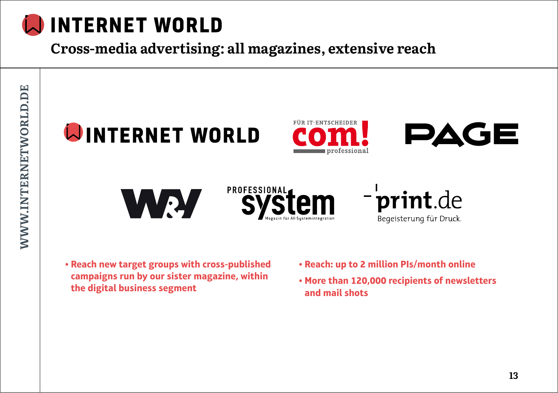

**Cross-media advertising: all magazines, extensive reach**









- **Reach new target groups with cross-published campaigns run by our sister magazine, within the digital business segment**
- **Reach: up to 2 million PIs/month online**
- **More than 120,000 recipients of newsletters and mail shots**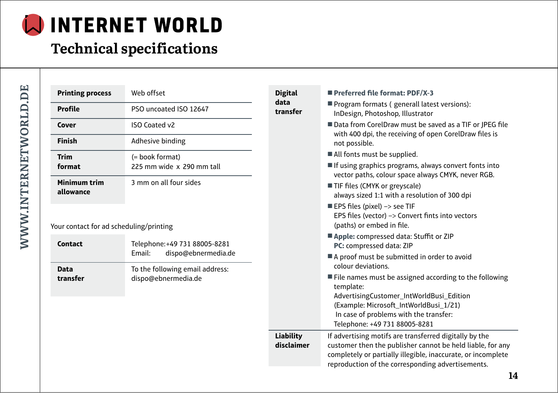# **Technical specifications**

| þ      |
|--------|
|        |
| 1      |
|        |
|        |
| ļ      |
| ï      |
|        |
|        |
| ı<br>b |
| š      |
| ı<br>ı |
|        |

| <b>Printing process</b>                 | Web offset                                                     | <b>Digital</b><br>data |
|-----------------------------------------|----------------------------------------------------------------|------------------------|
| <b>Profile</b>                          | PSO uncoated ISO 12647                                         | transfer               |
| Cover                                   | <b>ISO Coated v2</b>                                           |                        |
| <b>Finish</b>                           | Adhesive binding                                               |                        |
| <b>Trim</b><br>format                   | (= book format)<br>225 mm wide x 290 mm tall                   |                        |
| Minimum trim<br>allowance               | 3 mm on all four sides                                         |                        |
| Your contact for ad scheduling/printing |                                                                |                        |
| <b>Contact</b>                          | Telephone: +49 731 88005-8281<br>dispo@ebnermedia.de<br>Email: |                        |
| <b>Data</b><br>transfer                 | To the following email address:<br>dispo@ebnermedia.de         |                        |

| <b>Digital</b>                 | Preferred file format: PDF/X-3                                                                                                                                                       |
|--------------------------------|--------------------------------------------------------------------------------------------------------------------------------------------------------------------------------------|
| data<br>transfer               | Program formats (generall latest versions):<br>InDesign, Photoshop, Illustrator                                                                                                      |
|                                | ■ Data from CorelDraw must be saved as a TIF or JPEG file<br>with 400 dpi, the receiving of open CorelDraw files is<br>not possible.                                                 |
|                                | All fonts must be supplied.                                                                                                                                                          |
|                                | If using graphics programs, always convert fonts into<br>vector paths, colour space always CMYK, never RGB.                                                                          |
|                                | TIF files (CMYK or greyscale)                                                                                                                                                        |
|                                | always sized 1:1 with a resolution of 300 dpi                                                                                                                                        |
|                                | EPS files (pixel) -> see TIF                                                                                                                                                         |
|                                | EPS files (vector) -> Convert fints into vectors<br>(paths) or embed in file.                                                                                                        |
|                                | Apple: compressed data: Stuffit or ZIP<br>PC: compressed data: ZIP                                                                                                                   |
|                                | A proof must be submitted in order to avoid<br>colour deviations.                                                                                                                    |
|                                | ■ File names must be assigned according to the following<br>template:                                                                                                                |
|                                | AdvertisingCustomer_IntWorldBusi_Edition                                                                                                                                             |
|                                | (Example: Microsoft_IntWorldBusi_1/21)                                                                                                                                               |
|                                | In case of problems with the transfer:<br>Telephone: +49 731 88005-8281                                                                                                              |
| <b>Liability</b><br>disclaimer | If advertising motifs are transferred digitally by the<br>customer then the publisher cannot be held liable, for any<br>completely or partially illegible, inaccurate, or incomplete |
|                                | reproduction of the corresponding advertisements.                                                                                                                                    |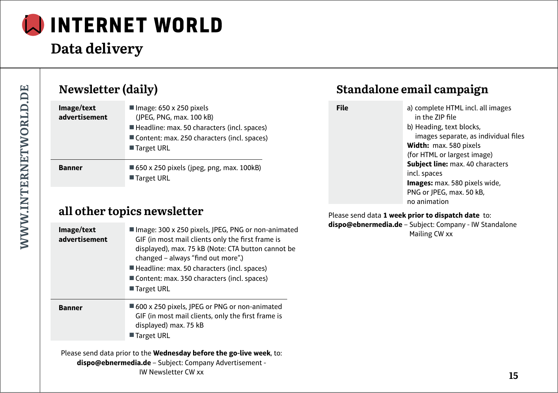

# **Data delivery**

| Newsletter (daily)          |                                                                                                                                                                          |  |  |
|-----------------------------|--------------------------------------------------------------------------------------------------------------------------------------------------------------------------|--|--|
| Image/text<br>advertisement | Image: $650 \times 250$ pixels<br>(JPEG, PNG, max. 100 kB)<br>Headline: max. 50 characters (incl. spaces)<br>Content: max. 250 characters (incl. spaces)<br>■ Target URL |  |  |
| <b>Banner</b>               | ■ 650 x 250 pixels (jpeg, png, max. 100kB)<br>■ Target URL                                                                                                               |  |  |

### **all other topics newsletter**

| Image/text<br>advertisement | Image: 300 x 250 pixels, JPEG, PNG or non-animated<br>GIF (in most mail clients only the first frame is<br>displayed), max. 75 kB (Note: CTA button cannot be<br>changed - always "find out more".)<br>Headline: max. 50 characters (incl. spaces)<br>Content: max. 350 characters (incl. spaces)<br>■ Target URL |
|-----------------------------|-------------------------------------------------------------------------------------------------------------------------------------------------------------------------------------------------------------------------------------------------------------------------------------------------------------------|
| <b>Banner</b>               | ■ 600 x 250 pixels, JPEG or PNG or non-animated<br>GIF (in most mail clients, only the first frame is<br>displayed) max. 75 kB<br>■ Target URL                                                                                                                                                                    |

Please send data prior to the **Wednesday before the go-live week**, to: **dispo@ebnermedia.de** – Subject: Company Advertisement - IW Newsletter CW xx

## **Standalone email campaign**

**File** a) complete HTML incl. all images in the ZIP file b) Heading, text blocks, images separate, as individual files **Width:** max. 580 pixels (for HTML or largest image) **Subject line:** max. 40 characters incl. spaces **Images:** max. 580 pixels wide, PNG or JPEG, max. 50 kB, no animation

Please send data **1 week prior to dispatch date** to: **dispo@ebnermedia.de** – Subject: Company - IW Standalone Mailing CW xx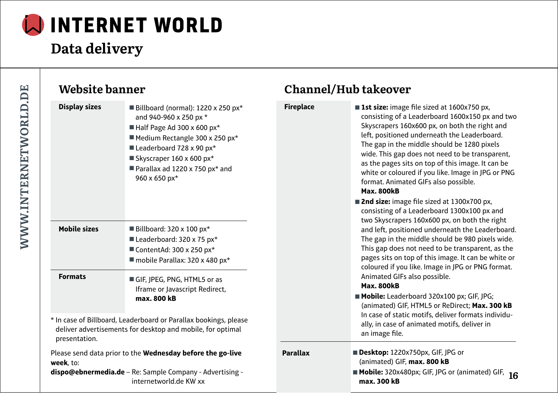

# **Data delivery**

| Website banner       |                                                                                                                                                                                                                                                         |                  | Channel/Hub takeover                                                                                                                                                                                                                                                                                                                                                                                                                                                            |
|----------------------|---------------------------------------------------------------------------------------------------------------------------------------------------------------------------------------------------------------------------------------------------------|------------------|---------------------------------------------------------------------------------------------------------------------------------------------------------------------------------------------------------------------------------------------------------------------------------------------------------------------------------------------------------------------------------------------------------------------------------------------------------------------------------|
| <b>Display sizes</b> | Billboard (normal): $1220 \times 250$ px*<br>and 940-960 x 250 px *<br>Half Page Ad 300 x 600 $px*$<br>Medium Rectangle 300 x 250 px*<br>Leaderboard 728 x 90 px*<br>Skyscraper $160 \times 600$ px*<br>Parallax ad 1220 x 750 px* and<br>960 x 650 px* | <b>Fireplace</b> | <b>1st size:</b> image file sized at 1600x750 px,<br>consisting of a Leaderboard 1600x150 px and two<br>Skyscrapers 160x600 px, on both the right and<br>left, positioned underneath the Leaderboard.<br>The gap in the middle should be 1280 pixels<br>wide. This gap does not need to be transparent,<br>as the pages sits on top of this image. It can be<br>white or coloured if you like. Image in JPG or PNG<br>format. Animated GIFs also possible.<br><b>Max. 800kB</b> |
| <b>Mobile sizes</b>  | Billboard: $320 \times 100$ px <sup>*</sup><br>Leaderboard: 320 x 75 px*<br>ContentAd: $300 \times 250$ px <sup>*</sup><br>mobile Parallax: 320 x 480 px*                                                                                               |                  | ■ 2nd size: image file sized at 1300x700 px,<br>consisting of a Leaderboard 1300x100 px and<br>two Skyscrapers 160x600 px, on both the right<br>and left, positioned underneath the Leaderboard.<br>The gap in the middle should be 980 pixels wide.<br>This gap does not need to be transparent, as the<br>pages sits on top of this image. It can be white or<br>coloured if you like. Image in JPG or PNG format.                                                            |
| <b>Formats</b>       | GIF, JPEG, PNG, HTML5 or as<br>Iframe or Javascript Redirect,<br>max. 800 kB                                                                                                                                                                            |                  | Animated GIFs also possible.<br><b>Max. 800kB</b><br>Mobile: Leaderboard 320x100 px; GIF, JPG;<br>(animated) GIF, HTML5 or ReDirect; Max. 300 kB                                                                                                                                                                                                                                                                                                                                |
| presentation.        | * In case of Billboard, Leaderboard or Parallax bookings, please<br>deliver advertisements for desktop and mobile, for optimal                                                                                                                          |                  | In case of static motifs, deliver formats individu-<br>ally, in case of animated motifs, deliver in<br>an image file.                                                                                                                                                                                                                                                                                                                                                           |
| week. to:            | Please send data prior to the Wednesday before the go-live<br>dispo@ebnermedia.de - Re: Sample Company - Advertising -<br>internetworld.de KW xx                                                                                                        | <b>Parallax</b>  | Desktop: 1220x750px, GIF, JPG or<br>(animated) GIF, max. 800 kB<br>$\blacksquare$ Mobile: 320x480px; GIF, JPG or (animated) GIF, 16<br>max. 300 kB                                                                                                                                                                                                                                                                                                                              |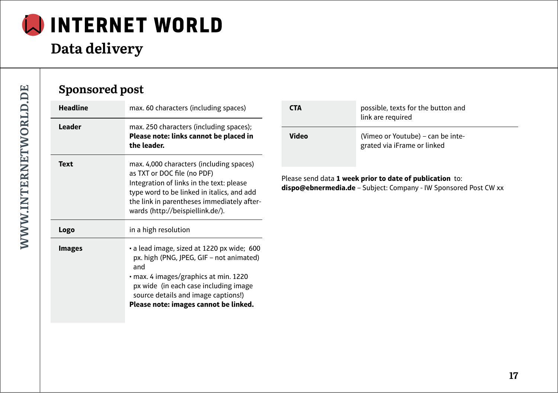

# **Data delivery**

| Sponsored post  |                                                                                                                                                                                                                                                                 |              |                                                                                                                                     |
|-----------------|-----------------------------------------------------------------------------------------------------------------------------------------------------------------------------------------------------------------------------------------------------------------|--------------|-------------------------------------------------------------------------------------------------------------------------------------|
| <b>Headline</b> | max. 60 characters (including spaces)                                                                                                                                                                                                                           | <b>CTA</b>   | possible, texts for the button and<br>link are required                                                                             |
| Leader          | max. 250 characters (including spaces);<br>Please note: links cannot be placed in<br>the leader.                                                                                                                                                                | <b>Video</b> | (Vimeo or Youtube) – can be inte-<br>grated via iFrame or linked                                                                    |
| <b>Text</b>     | max. 4,000 characters (including spaces)<br>as TXT or DOC file (no PDF)<br>Integration of links in the text: please<br>type word to be linked in italics, and add<br>the link in parentheses immediately after-<br>wards (http://beispiellink.de/).             |              | Please send data 1 week prior to date of publication to:<br><b>dispo@ebnermedia.de</b> – Subject: Company - IW Sponsored Post CW xx |
| Logo            | in a high resolution                                                                                                                                                                                                                                            |              |                                                                                                                                     |
| <b>Images</b>   | • a lead image, sized at 1220 px wide; 600<br>px. high (PNG, JPEG, GIF - not animated)<br>and<br>• max. 4 images/graphics at min. 1220<br>px wide (in each case including image<br>source details and image captions!)<br>Please note: images cannot be linked. |              |                                                                                                                                     |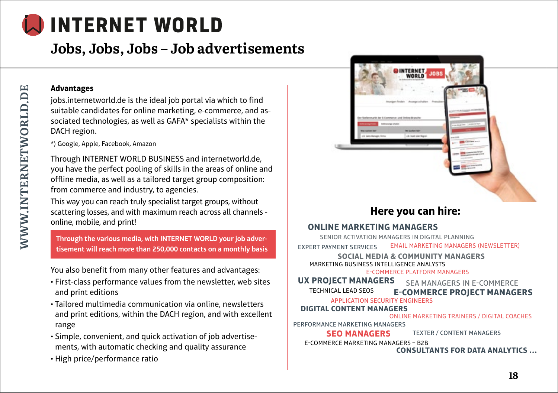## **Jobs, Jobs, Jobs – Job advertisements**

#### **Advantages**

jobs.internetworld.de is the ideal job portal via which to find suitable candidates for online marketing, e-commerce, and associated technologies, as well as GAFA\* specialists within the DACH region.

\*) Google, Apple, Facebook, Amazon

Through INTERNET WORLD BUSINESS and internetworld.de, you have the perfect pooling of skills in the areas of online and offline media, as well as a tailored target group composition: from commerce and industry, to agencies.

This way you can reach truly specialist target groups, without scattering losses, and with maximum reach across all channels online, mobile, and print!

**Through the various media, with INTERNET WORLD your job advertisement will reach more than 250,000 contacts on a monthly basis**

You also benefit from many other features and advantages:

- First-class performance values from the newsletter, web sites and print editions
- Tailored multimedia communication via online, newsletters and print editions, within the DACH region, and with excellent range
- Simple, convenient, and quick activation of job advertisements, with automatic checking and quality assurance
- High price/performance ratio



## **Here you can hire:**

#### **ONLINE MARKETING MANAGERS**

SENIOR ACTIVATION MANAGERS IN DIGITAL PLANNING EMAIL MARKETING MANAGERS (NEWSLETTER) EXPERT PAYMENT SERVICES

**SOCIAL MEDIA & COMMUNITY MANAGERS** MARKETING BUSINESS INTELLIGENCE ANALYSTS E-COMMERCE PLATFORM MANAGERS

SEA MANAGERS IN E-COMMERCE **E-COMMERCE PROJECT MANAGERS UX PROJECT MANAGERS** TECHNICAL LEAD SEOS

APPLICATION SECURITY ENGINEERS

#### **DIGITAL CONTENT MANAGERS**

ONLINE MARKETING TRAINERS / DIGITAL COACHES

PERFORMANCE MARKETING MANAGERS

TEXTER / CONTENT MANAGERS **SEO MANAGERS**

E-COMMERCE MARKETING MANAGERS – B2B

**CONSULTANTS FOR DATA ANALYTICS …**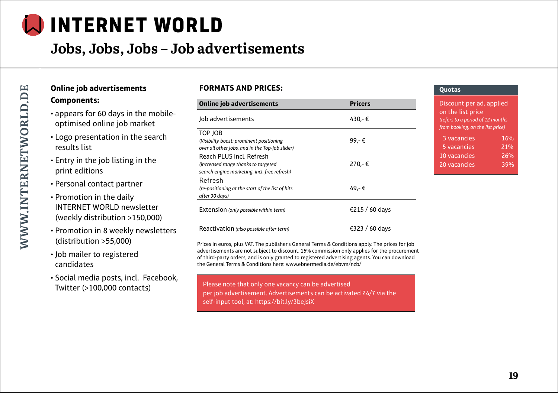## **Jobs, Jobs, Jobs – Job advertisements**

#### **Online job advertisements Components:**

- appears for 60 days in the mobileoptimised online job market
- Logo presentation in the search results list
- Entry in the job listing in the print editions
- Personal contact partner
- Promotion in the daily INTERNET WORLD newsletter (weekly distribution >150,000)
- Promotion in 8 weekly newsletters (distribution >55,000)
- Job mailer to registered candidates
- Social media posts, incl. Facebook, Twitter (>100,000 contacts)

#### **FORMATS AND PRICES:**

| <b>Online job advertisements</b>                                                                                | <b>Pricers</b> |
|-----------------------------------------------------------------------------------------------------------------|----------------|
| Job advertisements                                                                                              | 430.-€         |
| TOP JOB<br>(Visibility boost: prominent positioning<br>over all other jobs, and in the Top-Job slider)          | 99.-€          |
| Reach PLUS incl. Refresh<br>(increased range thanks to targeted<br>search engine marketing, incl. free refresh) | 270.-€         |
| Refresh<br>(re-positioning at the start of the list of hits<br>after 30 days)                                   | 49.-€          |
| Extension (only possible within term)                                                                           | €215 / 60 days |
| Reactivation (also possible after term)                                                                         | €323 / 60 days |

Prices in euros, plus VAT. The publisher's General Terms & Conditions apply. The prices for job advertisements are not subject to discount. 15% commission only applies for the procurement of third-party orders, and is only granted to registered advertising agents. You can download the General Terms & Conditions here: www.ebnermedia.de/ebvm/nzb/

Please note that only one vacancy can be advertised per job advertisement. Advertisements can be activated 24/7 via the self-input tool, at: https://bit.ly/3beJsiX

#### **Quotas**

| Discount per ad, applied<br>on the list price<br>(refers to a period of 12 months<br>from booking, on the list price) |     |  |
|-----------------------------------------------------------------------------------------------------------------------|-----|--|
| 3 vacancies                                                                                                           | 16% |  |
| 5 vacancies                                                                                                           | 21% |  |
| 10 vacancies                                                                                                          | 26% |  |
| 20 vacancies                                                                                                          | 39% |  |
|                                                                                                                       |     |  |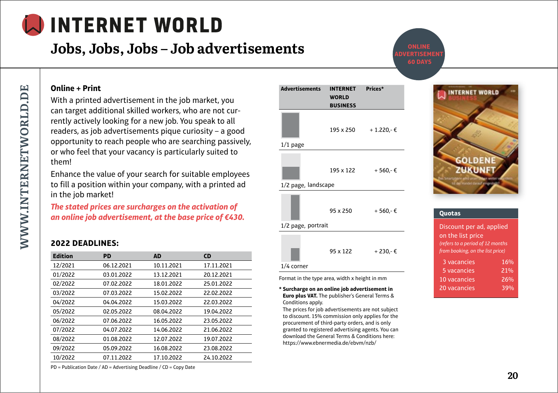**Jobs, Jobs, Jobs – Job advertisements**

**ONLINE 60 DAYS**

#### **Online + Print**

With a printed advertisement in the job market, you can target additional skilled workers, who are not currently actively looking for a new job. You speak to all readers, as job advertisements pique curiosity – a good opportunity to reach people who are searching passively, or who feel that your vacancy is particularly suited to them!

Enhance the value of your search for suitable employees to fill a position within your company, with a printed ad in the job market!

*The stated prices are surcharges on the activation of an online job advertisement, at the base price of €430.*

#### **2022 DEADLINES:**

| <b>Edition</b> | PD         | AD         | <b>CD</b>  |
|----------------|------------|------------|------------|
| 12/2021        | 06.12.2021 | 10.11.2021 | 17.11.2021 |
| 01/2022        | 03.01.2022 | 13.12.2021 | 20.12.2021 |
| 02/2022        | 07.02.2022 | 18.01.2022 | 25.01.2022 |
| 03/2022        | 07.03.2022 | 15.02.2022 | 22.02.2022 |
| 04/2022        | 04.04.2022 | 15.03.2022 | 22.03.2022 |
| 05/2022        | 02.05.2022 | 08.04.2022 | 19.04.2022 |
| 06/2022        | 07.06.2022 | 16.05.2022 | 23.05.2022 |
| 07/2022        | 04.07.2022 | 14.06.2022 | 21.06.2022 |
| 08/2022        | 01.08.2022 | 12.07.2022 | 19.07.2022 |
| 09/2022        | 05.09.2022 | 16.08.2022 | 23.08.2022 |
| 10/2022        | 07.11.2022 | 17.10.2022 | 24.10.2022 |

| <b>Advertisements</b> | <b>INTERNET</b><br><b>WORLD</b><br><b>BUSINESS</b> | Prices*     |
|-----------------------|----------------------------------------------------|-------------|
|                       | 195 x 250                                          | + 1.220,- € |
| $1/1$ page            |                                                    |             |
| 1/2 page, landscape   | 195 x 122                                          | + 560,-€    |
| 1/2 page, portrait    | 95 x 250                                           | + 560,-€    |
|                       | 95 x 122                                           | + 230.-€    |

#### 1/4 corner

Format in the type area, width x height in mm

**\* Surcharge on an online job advertisement in Euro plus VAT.** The publisher's General Terms & Conditions apply.

The prices for job advertisements are not subject to discount. 15% commission only applies for the procurement of third-party orders, and is only granted to registered advertising agents. You can download the General Terms & Conditions here: https://www.ebnermedia.de/ebvm/nzb/



#### **Quotas**

| Discount per ad, applied<br>on the list price<br>(refers to a period of 12 months<br>from booking, on the list price) |     |  |
|-----------------------------------------------------------------------------------------------------------------------|-----|--|
| 3 vacancies                                                                                                           | 16% |  |
| 5 vacancies                                                                                                           | 21% |  |
| 10 vacancies                                                                                                          | 26% |  |
| 20 vacancies                                                                                                          | 39% |  |
|                                                                                                                       |     |  |

PD = Publication Date / AD = Advertising Deadline / CD = Copy Date